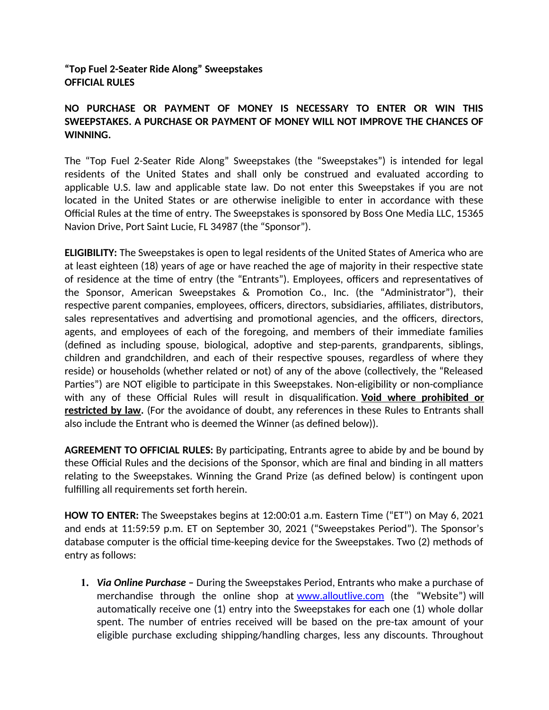## **"Top Fuel 2-Seater Ride Along" Sweepstakes OFFICIAL RULES**

## **NO PURCHASE OR PAYMENT OF MONEY IS NECESSARY TO ENTER OR WIN THIS SWEEPSTAKES. A PURCHASE OR PAYMENT OF MONEY WILL NOT IMPROVE THE CHANCES OF WINNING.**

The "Top Fuel 2-Seater Ride Along" Sweepstakes (the "Sweepstakes") is intended for legal residents of the United States and shall only be construed and evaluated according to applicable U.S. law and applicable state law. Do not enter this Sweepstakes if you are not located in the United States or are otherwise ineligible to enter in accordance with these Official Rules at the time of entry. The Sweepstakes is sponsored by Boss One Media LLC, 15365 Navion Drive, Port Saint Lucie, FL 34987 (the "Sponsor").

**ELIGIBILITY:** The Sweepstakes is open to legal residents of the United States of America who are at least eighteen (18) years of age or have reached the age of majority in their respective state of residence at the time of entry (the "Entrants"). Employees, officers and representatives of the Sponsor, American Sweepstakes & Promotion Co., Inc. (the "Administrator"), their respective parent companies, employees, officers, directors, subsidiaries, affiliates, distributors, sales representatives and advertising and promotional agencies, and the officers, directors, agents, and employees of each of the foregoing, and members of their immediate families (defined as including spouse, biological, adoptive and step-parents, grandparents, siblings, children and grandchildren, and each of their respective spouses, regardless of where they reside) or households (whether related or not) of any of the above (collectively, the "Released Parties") are NOT eligible to participate in this Sweepstakes. Non-eligibility or non-compliance with any of these Official Rules will result in disqualification. **Void where prohibited or restricted by law.** (For the avoidance of doubt, any references in these Rules to Entrants shall also include the Entrant who is deemed the Winner (as defned below)).

AGREEMENT TO OFFICIAL RULES: By participating, Entrants agree to abide by and be bound by these Official Rules and the decisions of the Sponsor, which are final and binding in all matters relatng to the Sweepstakes. Winning the Grand Prize (as defned below) is contngent upon fulflling all requirements set forth herein.

**HOW TO ENTER:** The Sweepstakes begins at 12:00:01 a.m. Eastern Time ("ET") on May 6, 2021 and ends at 11:59:59 p.m. ET on September 30, 2021 ("Sweepstakes Period"). The Sponsor's database computer is the official time-keeping device for the Sweepstakes. Two (2) methods of entry as follows:

**1.** *Via Online Purchase –* During the Sweepstakes Period, Entrants who make a purchase of merchandise through the online shop at [www.alloutlive.com](http://www.alloutlive.com/) (the "Website") will automatically receive one (1) entry into the Sweepstakes for each one (1) whole dollar spent. The number of entries received will be based on the pre-tax amount of your eligible purchase excluding shipping/handling charges, less any discounts. Throughout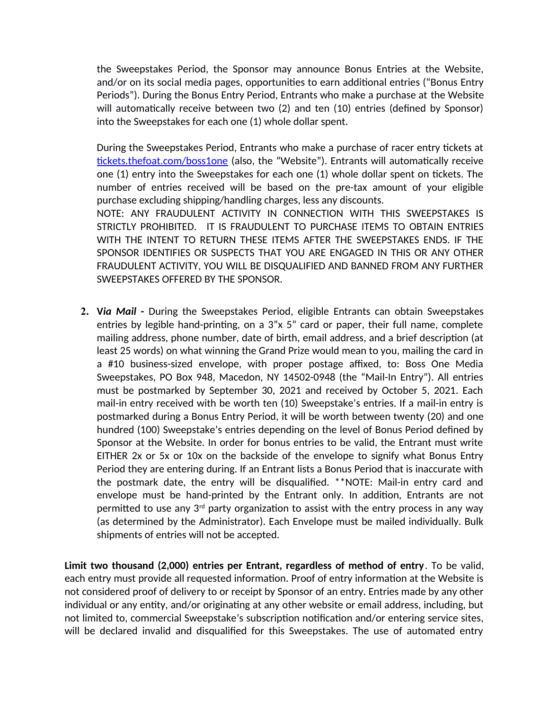the Sweepstakes Period, the Sponsor may announce Bonus Entries at the Website, and/or on its social media pages, opportunites to earn additonal entries ("Bonus Entry Periods"). During the Bonus Entry Period, Entrants who make a purchase at the Website will automatically receive between two (2) and ten (10) entries (defined by Sponsor) into the Sweepstakes for each one (1) whole dollar spent.

During the Sweepstakes Period, Entrants who make a purchase of racer entry tickets at tickets.thefoat.com/boss1one (also, the "Website"). Entrants will automatically receive one (1) entry into the Sweepstakes for each one (1) whole dollar spent on tckets. The number of entries received will be based on the pre-tax amount of your eligible purchase excluding shipping/handling charges, less any discounts.

NOTE: ANY FRAUDULENT ACTIVITY IN CONNECTION WITH THIS SWEEPSTAKES IS STRICTLY PROHIBITED. IT IS FRAUDULENT TO PURCHASE ITEMS TO OBTAIN ENTRIES WITH THE INTENT TO RETURN THESE ITEMS AFTER THE SWEEPSTAKES ENDS. IF THE SPONSOR IDENTIFIES OR SUSPECTS THAT YOU ARE ENGAGED IN THIS OR ANY OTHER FRAUDULENT ACTIVITY, YOU WILL BE DISQUALIFIED AND BANNED FROM ANY FURTHER SWEEPSTAKES OFFERED BY THE SPONSOR.

**2. V***ia Mail* **-** During the Sweepstakes Period, eligible Entrants can obtain Sweepstakes entries by legible hand-printing, on a 3"x 5" card or paper, their full name, complete mailing address, phone number, date of birth, email address, and a brief descripton (at least 25 words) on what winning the Grand Prize would mean to you, mailing the card in a #10 business-sized envelope, with proper postage affixed, to: Boss One Media Sweepstakes, PO Box 948, Macedon, NY 14502-0948 (the "Mail-In Entry"). All entries must be postmarked by September 30, 2021 and received by October 5, 2021. Each mail-in entry received with be worth ten (10) Sweepstake's entries. If a mail-in entry is postmarked during a Bonus Entry Period, it will be worth between twenty (20) and one hundred (100) Sweepstake's entries depending on the level of Bonus Period defned by Sponsor at the Website. In order for bonus entries to be valid, the Entrant must write EITHER 2x or 5x or 10x on the backside of the envelope to signify what Bonus Entry Period they are entering during. If an Entrant lists a Bonus Period that is inaccurate with the postmark date, the entry will be disqualifed. \*\*NOTE: Mail-in entry card and envelope must be hand-printed by the Entrant only. In additon, Entrants are not permitted to use any 3<sup>rd</sup> party organization to assist with the entry process in any way (as determined by the Administrator). Each Envelope must be mailed individually. Bulk shipments of entries will not be accepted.

**Limit two thousand (2,000) entries per Entrant, regardless of method of entry**. To be valid, each entry must provide all requested information. Proof of entry information at the Website is not considered proof of delivery to or receipt by Sponsor of an entry. Entries made by any other individual or any entity, and/or originating at any other website or email address, including, but not limited to, commercial Sweepstake's subscription notification and/or entering service sites, will be declared invalid and disqualifed for this Sweepstakes. The use of automated entry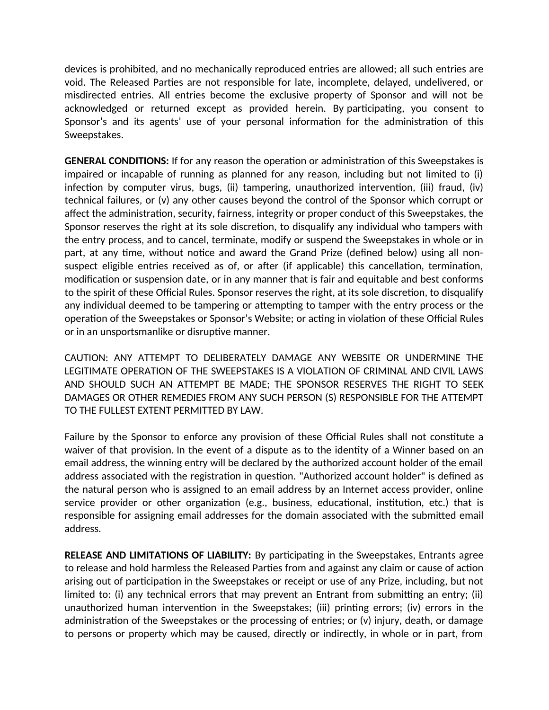devices is prohibited, and no mechanically reproduced entries are allowed; all such entries are void. The Released Partes are not responsible for late, incomplete, delayed, undelivered, or misdirected entries. All entries become the exclusive property of Sponsor and will not be acknowledged or returned except as provided herein. By participating, you consent to Sponsor's and its agents' use of your personal information for the administration of this Sweepstakes.

**GENERAL CONDITIONS:** If for any reason the operation or administration of this Sweepstakes is impaired or incapable of running as planned for any reason, including but not limited to (i) infection by computer virus, bugs, (ii) tampering, unauthorized intervention, (iii) fraud, (iv) technical failures, or (v) any other causes beyond the control of the Sponsor which corrupt or afect the administraton, security, fairness, integrity or proper conduct of this Sweepstakes, the Sponsor reserves the right at its sole discretion, to disqualify any individual who tampers with the entry process, and to cancel, terminate, modify or suspend the Sweepstakes in whole or in part, at any time, without notice and award the Grand Prize (defined below) using all nonsuspect eligible entries received as of, or after (if applicable) this cancellation, termination, modification or suspension date, or in any manner that is fair and equitable and best conforms to the spirit of these Official Rules. Sponsor reserves the right, at its sole discretion, to disqualify any individual deemed to be tampering or attempting to tamper with the entry process or the operation of the Sweepstakes or Sponsor's Website; or acting in violation of these Official Rules or in an unsportsmanlike or disruptive manner.

CAUTION: ANY ATTEMPT TO DELIBERATELY DAMAGE ANY WEBSITE OR UNDERMINE THE LEGITIMATE OPERATION OF THE SWEEPSTAKES IS A VIOLATION OF CRIMINAL AND CIVIL LAWS AND SHOULD SUCH AN ATTEMPT BE MADE; THE SPONSOR RESERVES THE RIGHT TO SEEK DAMAGES OR OTHER REMEDIES FROM ANY SUCH PERSON (S) RESPONSIBLE FOR THE ATTEMPT TO THE FULLEST EXTENT PERMITTED BY LAW.

Failure by the Sponsor to enforce any provision of these Official Rules shall not constitute a waiver of that provision. In the event of a dispute as to the identty of a Winner based on an email address, the winning entry will be declared by the authorized account holder of the email address associated with the registration in question. "Authorized account holder" is defined as the natural person who is assigned to an email address by an Internet access provider, online service provider or other organization (e.g., business, educational, institution, etc.) that is responsible for assigning email addresses for the domain associated with the submited email address.

**RELEASE AND LIMITATIONS OF LIABILITY:** By participating in the Sweepstakes, Entrants agree to release and hold harmless the Released Partes from and against any claim or cause of acton arising out of participation in the Sweepstakes or receipt or use of any Prize, including, but not limited to: (i) any technical errors that may prevent an Entrant from submitting an entry; (ii) unauthorized human intervention in the Sweepstakes; (iii) printing errors; (iv) errors in the administration of the Sweepstakes or the processing of entries; or (v) injury, death, or damage to persons or property which may be caused, directly or indirectly, in whole or in part, from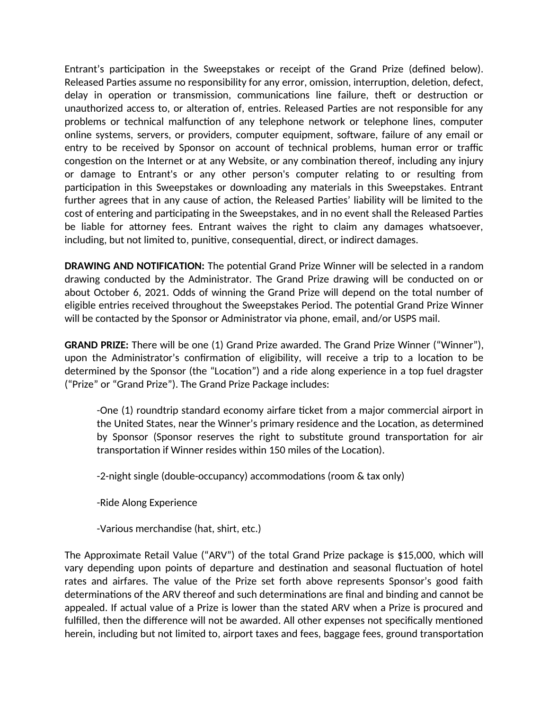Entrant's participation in the Sweepstakes or receipt of the Grand Prize (defined below). Released Parties assume no responsibility for any error, omission, interruption, deletion, defect, delay in operation or transmission, communications line failure, theft or destruction or unauthorized access to, or alteration of, entries. Released Parties are not responsible for any problems or technical malfunction of any telephone network or telephone lines, computer online systems, servers, or providers, computer equipment, sofware, failure of any email or entry to be received by Sponsor on account of technical problems, human error or traffic congestion on the Internet or at any Website, or any combination thereof, including any injury or damage to Entrant's or any other person's computer relatng to or resultng from participation in this Sweepstakes or downloading any materials in this Sweepstakes. Entrant further agrees that in any cause of action, the Released Parties' liability will be limited to the cost of entering and participating in the Sweepstakes, and in no event shall the Released Parties be liable for attorney fees. Entrant waives the right to claim any damages whatsoever, including, but not limited to, punitve, consequental, direct, or indirect damages.

**DRAWING AND NOTIFICATION:** The potential Grand Prize Winner will be selected in a random drawing conducted by the Administrator. The Grand Prize drawing will be conducted on or about October 6, 2021. Odds of winning the Grand Prize will depend on the total number of eligible entries received throughout the Sweepstakes Period. The potential Grand Prize Winner will be contacted by the Sponsor or Administrator via phone, email, and/or USPS mail.

**GRAND PRIZE:** There will be one (1) Grand Prize awarded. The Grand Prize Winner ("Winner"), upon the Administrator's confrmaton of eligibility, will receive a trip to a locaton to be determined by the Sponsor (the "Location") and a ride along experience in a top fuel dragster ("Prize" or "Grand Prize"). The Grand Prize Package includes:

-One (1) roundtrip standard economy airfare tcket from a major commercial airport in the United States, near the Winner's primary residence and the Locaton, as determined by Sponsor (Sponsor reserves the right to substitute ground transportation for air transportation if Winner resides within 150 miles of the Location).

-2-night single (double-occupancy) accommodations (room & tax only)

-Ride Along Experience

-Various merchandise (hat, shirt, etc.)

The Approximate Retail Value ("ARV") of the total Grand Prize package is \$15,000, which will vary depending upon points of departure and destination and seasonal fluctuation of hotel rates and airfares. The value of the Prize set forth above represents Sponsor's good faith determinations of the ARV thereof and such determinations are final and binding and cannot be appealed. If actual value of a Prize is lower than the stated ARV when a Prize is procured and fulfilled, then the difference will not be awarded. All other expenses not specifically mentioned herein, including but not limited to, airport taxes and fees, baggage fees, ground transportaton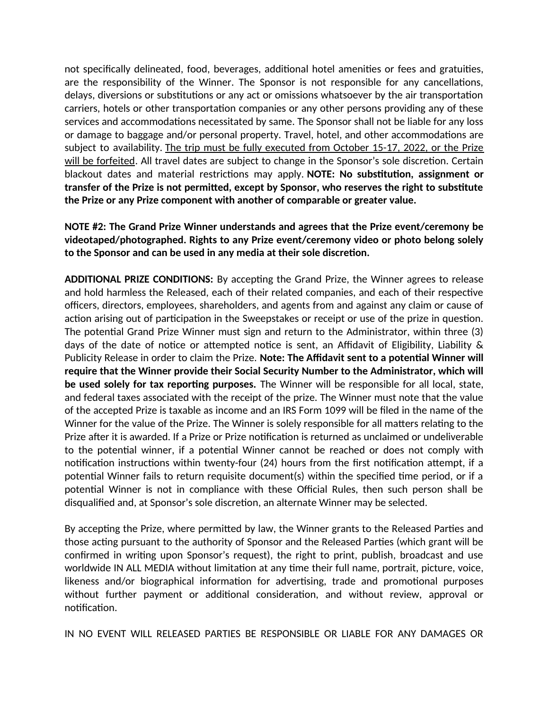not specifically delineated, food, beverages, additional hotel amenities or fees and gratuities, are the responsibility of the Winner. The Sponsor is not responsible for any cancellatons, delays, diversions or substitutions or any act or omissions whatsoever by the air transportation carriers, hotels or other transportation companies or any other persons providing any of these services and accommodations necessitated by same. The Sponsor shall not be liable for any loss or damage to baggage and/or personal property. Travel, hotel, and other accommodatons are subject to availability. The trip must be fully executed from October 15-17, 2022, or the Prize will be forfeited. All travel dates are subject to change in the Sponsor's sole discretion. Certain blackout dates and material restrictions may apply. **NOTE: No substitution, assignment or transfer of the Prize is not permited, except by Sponsor, who reserves the right to substtute the Prize or any Prize component with another of comparable or greater value.**

**NOTE #2: The Grand Prize Winner understands and agrees that the Prize event/ceremony be videotaped/photographed. Rights to any Prize event/ceremony video or photo belong solely to the Sponsor and can be used in any media at their sole discreton.**

ADDITIONAL PRIZE CONDITIONS: By accepting the Grand Prize, the Winner agrees to release and hold harmless the Released, each of their related companies, and each of their respectve officers, directors, employees, shareholders, and agents from and against any claim or cause of action arising out of participation in the Sweepstakes or receipt or use of the prize in question. The potental Grand Prize Winner must sign and return to the Administrator, within three (3) days of the date of notice or attempted notice is sent, an Affidavit of Eligibility, Liability  $\&$ Publicity Release in order to claim the Prize. **Note: The Affidavit sent to a potential Winner will require that the Winner provide their Social Security Number to the Administrator, which will** be used solely for tax reporting purposes. The Winner will be responsible for all local, state, and federal taxes associated with the receipt of the prize. The Winner must note that the value of the accepted Prize is taxable as income and an IRS Form 1099 will be fled in the name of the Winner for the value of the Prize. The Winner is solely responsible for all matters relating to the Prize after it is awarded. If a Prize or Prize notification is returned as unclaimed or undeliverable to the potential winner, if a potential Winner cannot be reached or does not comply with notification instructions within twenty-four (24) hours from the first notification attempt, if a potental Winner fails to return requisite document(s) within the specifed tme period, or if a potential Winner is not in compliance with these Official Rules, then such person shall be disqualified and, at Sponsor's sole discretion, an alternate Winner may be selected.

By accepting the Prize, where permitted by law, the Winner grants to the Released Parties and those acting pursuant to the authority of Sponsor and the Released Parties (which grant will be confrmed in writng upon Sponsor's request), the right to print, publish, broadcast and use worldwide IN ALL MEDIA without limitation at any time their full name, portrait, picture, voice, likeness and/or biographical information for advertising, trade and promotional purposes without further payment or additional consideration, and without review, approval or notification.

IN NO EVENT WILL RELEASED PARTIES BE RESPONSIBLE OR LIABLE FOR ANY DAMAGES OR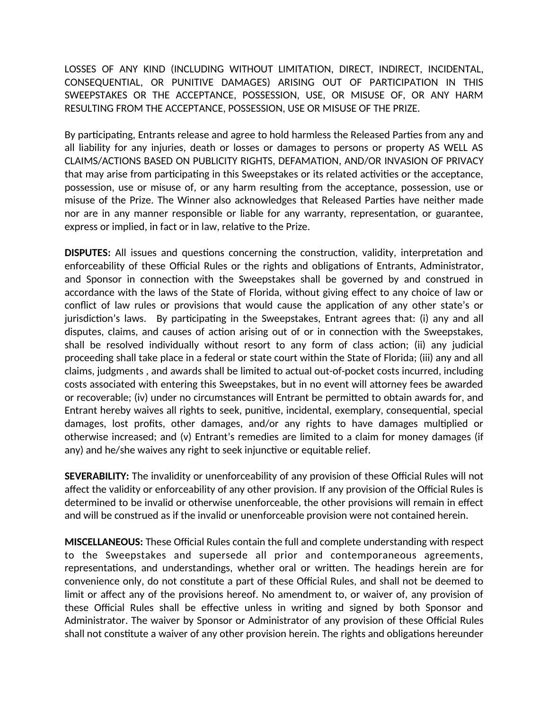LOSSES OF ANY KIND (INCLUDING WITHOUT LIMITATION, DIRECT, INDIRECT, INCIDENTAL, CONSEQUENTIAL, OR PUNITIVE DAMAGES) ARISING OUT OF PARTICIPATION IN THIS SWEEPSTAKES OR THE ACCEPTANCE, POSSESSION, USE, OR MISUSE OF, OR ANY HARM RESULTING FROM THE ACCEPTANCE, POSSESSION, USE OR MISUSE OF THE PRIZE.

By participating, Entrants release and agree to hold harmless the Released Parties from any and all liability for any injuries, death or losses or damages to persons or property AS WELL AS CLAIMS/ACTIONS BASED ON PUBLICITY RIGHTS, DEFAMATION, AND/OR INVASION OF PRIVACY that may arise from participating in this Sweepstakes or its related activities or the acceptance, possession, use or misuse of, or any harm resultng from the acceptance, possession, use or misuse of the Prize. The Winner also acknowledges that Released Partes have neither made nor are in any manner responsible or liable for any warranty, representaton, or guarantee, express or implied, in fact or in law, relative to the Prize.

**DISPUTES:** All issues and questions concerning the construction, validity, interpretation and enforceability of these Official Rules or the rights and obligations of Entrants, Administrator, and Sponsor in connection with the Sweepstakes shall be governed by and construed in accordance with the laws of the State of Florida, without giving efect to any choice of law or conflict of law rules or provisions that would cause the application of any other state's or jurisdiction's laws. By participating in the Sweepstakes, Entrant agrees that: (i) any and all disputes, claims, and causes of action arising out of or in connection with the Sweepstakes, shall be resolved individually without resort to any form of class action; (ii) any judicial proceeding shall take place in a federal or state court within the State of Florida; (iii) any and all claims, judgments , and awards shall be limited to actual out-of-pocket costs incurred, including costs associated with entering this Sweepstakes, but in no event will atorney fees be awarded or recoverable; (iv) under no circumstances will Entrant be permited to obtain awards for, and Entrant hereby waives all rights to seek, punitve, incidental, exemplary, consequental, special damages, lost profts, other damages, and/or any rights to have damages multplied or otherwise increased; and (v) Entrant's remedies are limited to a claim for money damages (if any) and he/she waives any right to seek injunctive or equitable relief.

**SEVERABILITY:** The invalidity or unenforceability of any provision of these Official Rules will not affect the validity or enforceability of any other provision. If any provision of the Official Rules is determined to be invalid or otherwise unenforceable, the other provisions will remain in efect and will be construed as if the invalid or unenforceable provision were not contained herein.

**MISCELLANEOUS:** These Official Rules contain the full and complete understanding with respect to the Sweepstakes and supersede all prior and contemporaneous agreements, representations, and understandings, whether oral or written. The headings herein are for convenience only, do not constitute a part of these Official Rules, and shall not be deemed to limit or afect any of the provisions hereof. No amendment to, or waiver of, any provision of these Official Rules shall be effective unless in writing and signed by both Sponsor and Administrator. The waiver by Sponsor or Administrator of any provision of these Official Rules shall not constitute a waiver of any other provision herein. The rights and obligations hereunder